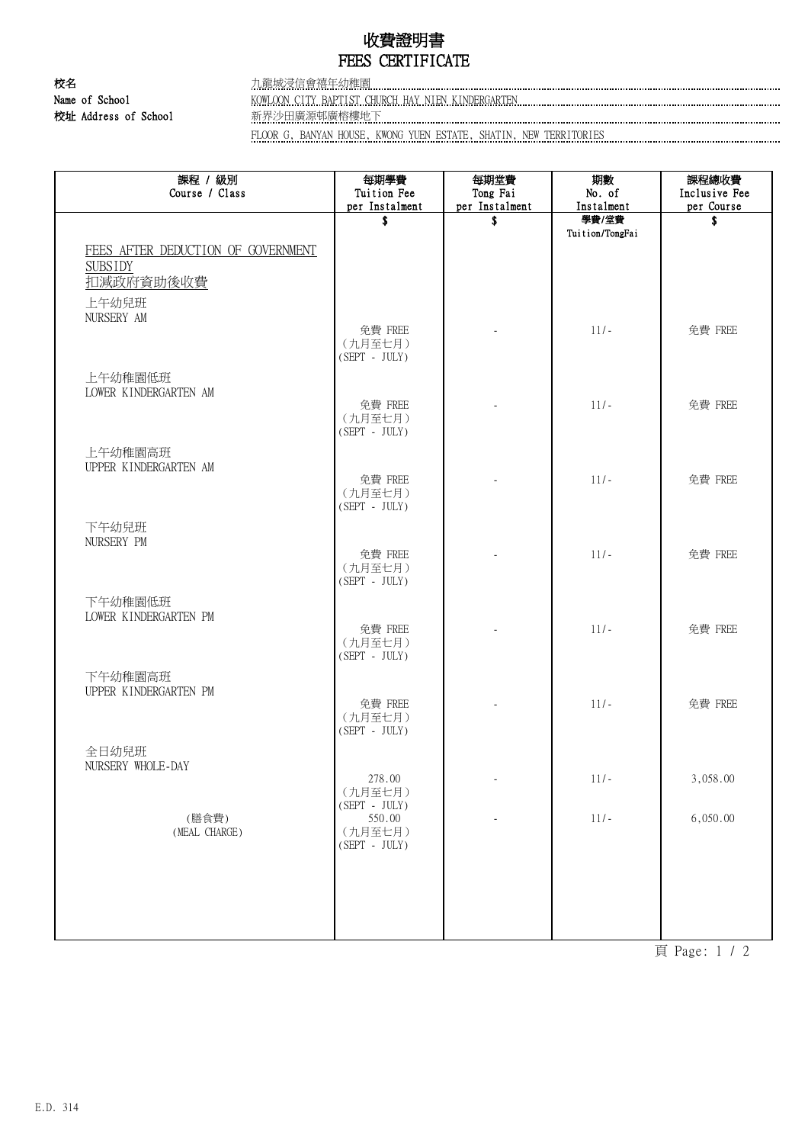## 收費證明書 FEES CERTIFICATE

校名 九龍城浸信會禧年幼稚園

Name of School KOWLOON CITY BAPTIST CHURCH HAY NIEN KINDERGARTEN 校址 Address of School ネットのコントラントの「およびのコントラントの商品」を提供している。<br>※ インタイントラントのコントラントのコントラントの商品の商品を提供している。「おもしてもいいのです」ということをしているのは、「おもしてもののコントラントのコントラントのコントラントのコントラントのコントラントのコント<br>※ イントラントのコントラントのコントラントのコントラントの「おもしてもの」ということに、「おもしてもの」

FLOOR G, BANYAN HOUSE, KWONG YUEN ESTATE, SHATIN, NEW TERRITORIES

| 課程 / 級別<br>Course / Class                                                  | 每期學費<br>Tuition Fee                        | 每期堂費<br>Tong Fai | 期數<br>No. of             | 課程總收費<br>Inclusive Fee |
|----------------------------------------------------------------------------|--------------------------------------------|------------------|--------------------------|------------------------|
|                                                                            | per Instalment                             | per Instalment   | Instalment               | per Course             |
|                                                                            | \$                                         | \$               | 學費/堂費<br>Tuition/TongFai | \$                     |
| FEES AFTER DEDUCTION OF GOVERNMENT<br><b>SUBSIDY</b><br>扣减政府資助後收費<br>上午幼兒班 |                                            |                  |                          |                        |
| NURSERY AM                                                                 | 免費 FREE<br>(九月至七月)<br>$(SEPT - JULY)$      |                  | $11/-$                   | 免費 FREE                |
| 上午幼稚園低班<br>LOWER KINDERGARTEN AM                                           | 免費 FREE                                    |                  | $11/-$                   | 免費 FREE                |
|                                                                            | (九月至七月)<br>$(SEPT - JULY)$                 |                  |                          |                        |
| 上午幼稚園高班<br>UPPER KINDERGARTEN AM                                           | 免費 FREE                                    |                  | $11/-$                   | 免費 FREE                |
|                                                                            | (九月至七月)<br>$(SEPT - JULY)$                 |                  |                          |                        |
| 下午幼兒班<br>NURSERY PM                                                        |                                            |                  |                          |                        |
|                                                                            | 免費 FREE<br>(九月至七月)<br>$(SEPT - JULY)$      |                  | $11/-$                   | 免費 FREE                |
| 下午幼稚園低班<br>LOWER KINDERGARTEN PM                                           | 免費 FREE                                    |                  | $11/-$                   | 免費 FREE                |
|                                                                            | (九月至七月)<br>$(SEPT - JULY)$                 |                  |                          |                        |
| 下午幼稚園高班<br>UPPER KINDERGARTEN PM                                           |                                            |                  |                          |                        |
|                                                                            | 免費 FREE<br>(九月至七月)<br>$(SEPT - JULY)$      |                  | $11/-$                   | 免費 FREE                |
| 全日幼兒班<br>NURSERY WHOLE-DAY                                                 | 278.00                                     |                  | $11/-$                   | 3,058.00               |
|                                                                            | (九月至七月)<br>$(\mbox{SEPT}$ - $\mbox{JULY})$ |                  |                          |                        |
| (膳食費)<br>(MEAL CHARGE)                                                     | 550.00<br>(九月至七月)<br>$(SEPT - JULY)$       |                  | $11/-$                   | 6,050.00               |
|                                                                            |                                            |                  |                          |                        |
|                                                                            |                                            |                  |                          |                        |
|                                                                            |                                            |                  |                          |                        |

頁 Page: 1 / 2